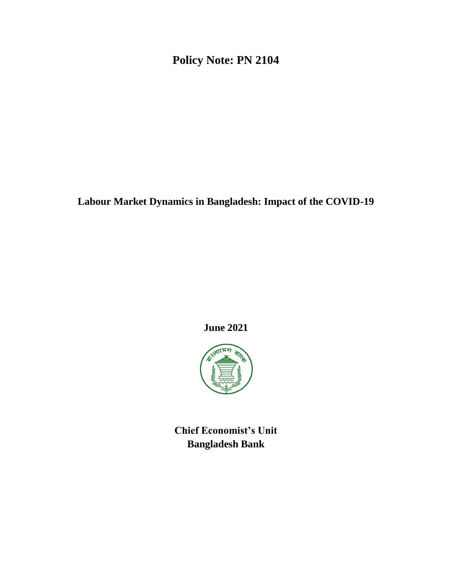**Policy Note: PN 2104**

**Labour Market Dynamics in Bangladesh: Impact of the COVID-19**

**June 2021**



**Chief Economist's Unit Bangladesh Bank**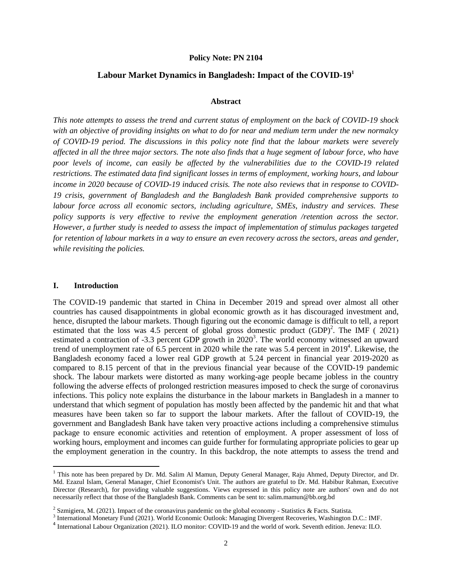#### **Policy Note: PN 2104**

#### **Labour Market Dynamics in Bangladesh: Impact of the COVID-19<sup>1</sup>**

#### **Abstract**

*This note attempts to assess the trend and current status of employment on the back of COVID-19 shock with an objective of providing insights on what to do for near and medium term under the new normalcy of COVID-19 period. The discussions in this policy note find that the labour markets were severely affected in all the three major sectors. The note also finds that a huge segment of labour force, who have poor levels of income, can easily be affected by the vulnerabilities due to the COVID-19 related restrictions. The estimated data find significant losses in terms of employment, working hours, and labour income in 2020 because of COVID-19 induced crisis. The note also reviews that in response to COVID-19 crisis, government of Bangladesh and the Bangladesh Bank provided comprehensive supports to labour force across all economic sectors, including agriculture, SMEs, industry and services. These policy supports is very effective to revive the employment generation /retention across the sector. However, a further study is needed to assess the impact of implementation of stimulus packages targeted for retention of labour markets in a way to ensure an even recovery across the sectors, areas and gender, while revisiting the policies.*

#### **I. Introduction**

 $\overline{\phantom{a}}$ 

The COVID-19 pandemic that started in China in December 2019 and spread over almost all other countries has caused disappointments in global economic growth as it has discouraged investment and, hence, disrupted the labour markets. Though figuring out the economic damage is difficult to tell, a report estimated that the loss was 4.5 percent of global gross domestic product  $(GDP)^2$ . The IMF (2021) estimated a contraction of  $-3.3$  percent GDP growth in  $2020<sup>3</sup>$ . The world economy witnessed an upward trend of unemployment rate of  $\overline{6.5}$  percent in 2020 while the rate was 5.4 percent in 2019<sup>4</sup>. Likewise, the Bangladesh economy faced a lower real GDP growth at 5.24 percent in financial year 2019-2020 as compared to 8.15 percent of that in the previous financial year because of the COVID-19 pandemic shock. The labour markets were distorted as many working-age people became jobless in the country following the adverse effects of prolonged restriction measures imposed to check the surge of coronavirus infections. This policy note explains the disturbance in the labour markets in Bangladesh in a manner to understand that which segment of population has mostly been affected by the pandemic hit and that what measures have been taken so far to support the labour markets. After the fallout of COVID-19, the government and Bangladesh Bank have taken very proactive actions including a comprehensive stimulus package to ensure economic activities and retention of employment. A proper assessment of loss of working hours, employment and incomes can guide further for formulating appropriate policies to gear up the employment generation in the country. In this backdrop, the note attempts to assess the trend and

<sup>&</sup>lt;sup>1</sup> This note has been prepared by Dr. Md. Salim Al Mamun, Deputy General Manager, Raju Ahmed, Deputy Director, and Dr. Md. Ezazul Islam, General Manager, Chief Economist's Unit. The authors are grateful to Dr. Md. Habibur Rahman, Executive Director (Research), for providing valuable suggestions. Views expressed in this policy note are authors' own and do not necessarily reflect that those of the Bangladesh Bank. Comments can be sent to: salim.mamun@bb.org.bd

<sup>&</sup>lt;sup>2</sup> Szmigiera, M. (2021). Impact of the coronavirus pandemic on the global economy - Statistics & Facts. Statista.

<sup>3</sup> International Monetary Fund (2021). World Economic Outlook: Managing Divergent Recoveries, Washington D.C.: IMF.

<sup>4</sup> International Labour Organization (2021). ILO monitor: COVID-19 and the world of work. Seventh edition. Jeneva: ILO.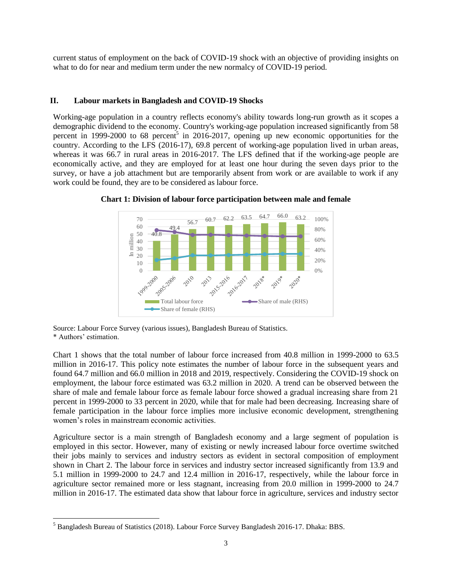current status of employment on the back of COVID-19 shock with an objective of providing insights on what to do for near and medium term under the new normalcy of COVID-19 period.

## **II. Labour markets in Bangladesh and COVID-19 Shocks**

Working-age population in a country reflects economy's ability towards long-run growth as it scopes a demographic dividend to the economy. Country's working-age population increased significantly from 58 percent in 1999-2000 to 68 percent<sup>5</sup> in 2016-2017, opening up new economic opportunities for the country. According to the LFS (2016-17), 69.8 percent of working-age population lived in urban areas, whereas it was 66.7 in rural areas in 2016-2017. The LFS defined that if the working-age people are economically active, and they are employed for at least one hour during the seven days prior to the survey, or have a job attachment but are temporarily absent from work or are available to work if any work could be found, they are to be considered as labour force.



**Chart 1: Division of labour force participation between male and female**

Source: Labour Force Survey (various issues), Bangladesh Bureau of Statistics. \* Authors' estimation.

Chart 1 shows that the total number of labour force increased from 40.8 million in 1999-2000 to 63.5 million in 2016-17. This policy note estimates the number of labour force in the subsequent years and found 64.7 million and 66.0 million in 2018 and 2019, respectively. Considering the COVID-19 shock on employment, the labour force estimated was 63.2 million in 2020. A trend can be observed between the share of male and female labour force as female labour force showed a gradual increasing share from 21 percent in 1999-2000 to 33 percent in 2020, while that for male had been decreasing. Increasing share of female participation in the labour force implies more inclusive economic development, strengthening women's roles in mainstream economic activities.

Agriculture sector is a main strength of Bangladesh economy and a large segment of population is employed in this sector. However, many of existing or newly increased labour force overtime switched their jobs mainly to services and industry sectors as evident in sectoral composition of employment shown in Chart 2. The labour force in services and industry sector increased significantly from 13.9 and 5.1 million in 1999-2000 to 24.7 and 12.4 million in 2016-17, respectively, while the labour force in agriculture sector remained more or less stagnant, increasing from 20.0 million in 1999-2000 to 24.7 million in 2016-17. The estimated data show that labour force in agriculture, services and industry sector

 $\overline{\phantom{a}}$ 

<sup>5</sup> Bangladesh Bureau of Statistics (2018). Labour Force Survey Bangladesh 2016-17. Dhaka: BBS.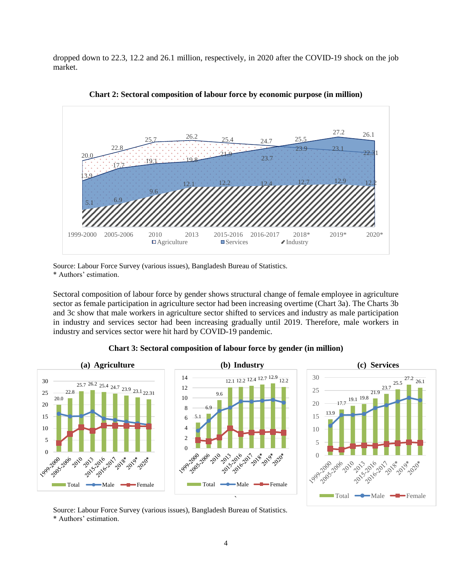dropped down to 22.3, 12.2 and 26.1 million, respectively, in 2020 after the COVID-19 shock on the job market.



**Chart 2: Sectoral composition of labour force by economic purpose (in million)**

Source: Labour Force Survey (various issues), Bangladesh Bureau of Statistics. \* Authors' estimation.

Sectoral composition of labour force by gender shows structural change of female employee in agriculture sector as female participation in agriculture sector had been increasing overtime (Chart 3a). The Charts 3b and 3c show that male workers in agriculture sector shifted to services and industry as male participation in industry and services sector had been increasing gradually until 2019. Therefore, male workers in industry and services sector were hit hard by COVID-19 pandemic.



**Chart 3: Sectoral composition of labour force by gender (in million)**

Source: Labour Force Survey (various issues), Bangladesh Bureau of Statistics. \* Authors' estimation.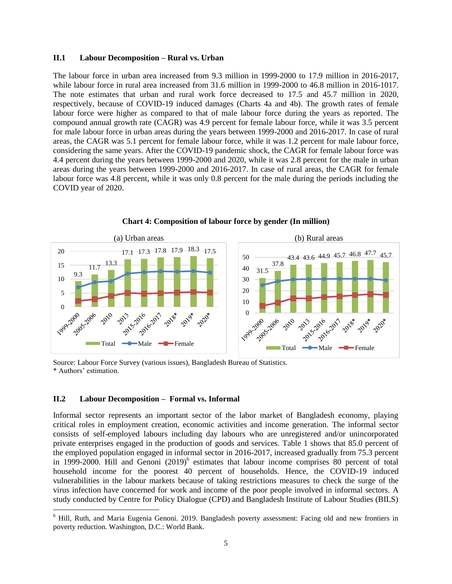#### **II.1 Labour Decomposition – Rural vs. Urban**

The labour force in urban area increased from 9.3 million in 1999-2000 to 17.9 million in 2016-2017, while labour force in rural area increased from 31.6 million in 1999-2000 to 46.8 million in 2016-1017. The note estimates that urban and rural work force decreased to 17.5 and 45.7 million in 2020, respectively, because of COVID-19 induced damages (Charts 4a and 4b). The growth rates of female labour force were higher as compared to that of male labour force during the years as reported. The compound annual growth rate (CAGR) was 4.9 percent for female labour force, while it was 3.5 percent for male labour force in urban areas during the years between 1999-2000 and 2016-2017. In case of rural areas, the CAGR was 5.1 percent for female labour force, while it was 1.2 percent for male labour force, considering the same years. After the COVID-19 pandemic shock, the CAGR for female labour force was 4.4 percent during the years between 1999-2000 and 2020, while it was 2.8 percent for the male in urban areas during the years between 1999-2000 and 2016-2017. In case of rural areas, the CAGR for female labour force was 4.8 percent, while it was only 0.8 percent for the male during the periods including the COVID year of 2020.



**Chart 4: Composition of labour force by gender (In million)**

Source: Labour Force Survey (various issues), Bangladesh Bureau of Statistics. \* Authors' estimation.

#### **II.2 Labour Decomposition – Formal vs. Informal**

 $\overline{\phantom{a}}$ 

Informal sector represents an important sector of the labor market of Bangladesh economy, playing critical roles in employment creation, economic activities and income generation. The informal sector consists of self-employed labours including day labours who are unregistered and/or unincorporated private enterprises engaged in the production of goods and services. Table 1 shows that 85.0 percent of the employed population engaged in informal sector in 2016-2017, increased gradually from 75.3 percent in 1999-2000. Hill and Genoni (2019)<sup>6</sup> estimates that labour income comprises 80 percent of total household income for the poorest 40 percent of households. Hence, the COVID-19 induced vulnerabilities in the labour markets because of taking restrictions measures to check the surge of the virus infection have concerned for work and income of the poor people involved in informal sectors. A study conducted by Centre for Policy Dialogue (CPD) and Bangladesh Institute of Labour Studies (BILS)

<sup>6</sup> Hill, Ruth, and Maria Eugenia Genoni. 2019. Bangladesh poverty assessment: Facing old and new frontiers in poverty reduction. Washington, D.C.: World Bank.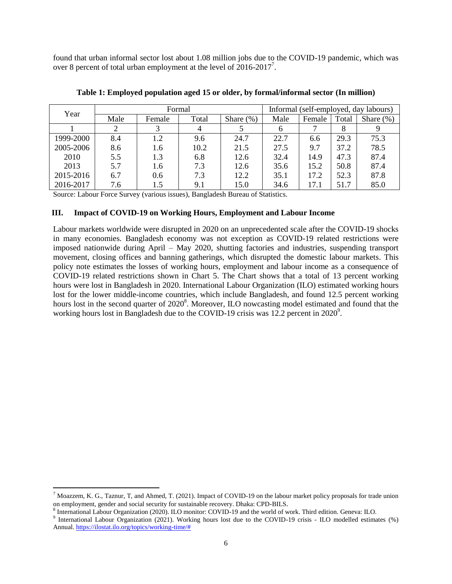found that urban informal sector lost about 1.08 million jobs due to the COVID-19 pandemic, which was over 8 percent of total urban employment at the level of  $2016-2017$ <sup>7</sup>.

| Year      | Formal |        |       |               | Informal (self-employed, day labours) |        |       |               |
|-----------|--------|--------|-------|---------------|---------------------------------------|--------|-------|---------------|
|           | Male   | Female | Total | Share $(\% )$ | Male                                  | Female | Total | Share $(\% )$ |
|           |        |        |       |               | <sub>0</sub>                          |        |       |               |
| 1999-2000 | 8.4    | 1.2    | 9.6   | 24.7          | 22.7                                  | 6.6    | 29.3  | 75.3          |
| 2005-2006 | 8.6    | 1.6    | 10.2  | 21.5          | 27.5                                  | 9.7    | 37.2  | 78.5          |
| 2010      | 5.5    | 1.3    | 6.8   | 12.6          | 32.4                                  | 14.9   | 47.3  | 87.4          |
| 2013      | 5.7    | 1.6    | 7.3   | 12.6          | 35.6                                  | 15.2   | 50.8  | 87.4          |
| 2015-2016 | 6.7    | 0.6    | 7.3   | 12.2          | 35.1                                  | 17.2   | 52.3  | 87.8          |
| 2016-2017 | 7.6    | 1.5    | 9.1   | 15.0          | 34.6                                  | 17.1   | 51.7  | 85.0          |

**Table 1: Employed population aged 15 or older, by formal/informal sector (In million)**

Source: Labour Force Survey (various issues), Bangladesh Bureau of Statistics.

## **III. Impact of COVID-19 on Working Hours, Employment and Labour Income**

Labour markets worldwide were disrupted in 2020 on an unprecedented scale after the COVID-19 shocks in many economies. Bangladesh economy was not exception as COVID-19 related restrictions were imposed nationwide during April – May 2020, shutting factories and industries, suspending transport movement, closing offices and banning gatherings, which disrupted the domestic labour markets. This policy note estimates the losses of working hours, employment and labour income as a consequence of COVID-19 related restrictions shown in Chart 5. The Chart shows that a total of 13 percent working hours were lost in Bangladesh in 2020. International Labour Organization (ILO) estimated working hours lost for the lower middle-income countries, which include Bangladesh, and found 12.5 percent working hours lost in the second quarter of 2020<sup>8</sup>. Moreover, ILO nowcasting model estimated and found that the working hours lost in Bangladesh due to the COVID-19 crisis was  $12.2$  percent in  $2020^9$ .

 $\overline{a}$ 

<sup>&</sup>lt;sup>7</sup> Moazzem, K. G., Taznur, T, and Ahmed, T. (2021). Impact of COVID-19 on the labour market policy proposals for trade union on employment, gender and social security for sustainable recovery. Dhaka: CPD-BILS.

<sup>8</sup> International Labour Organization (2020). ILO monitor: COVID-19 and the world of work. Third edition. Geneva: ILO.

<sup>9</sup> International Labour Organization (2021). Working hours lost due to the COVID-19 crisis - ILO modelled estimates (%) Annual. [https://ilostat.ilo.org/topics/working-time/#](https://ilostat.ilo.org/topics/working-time/)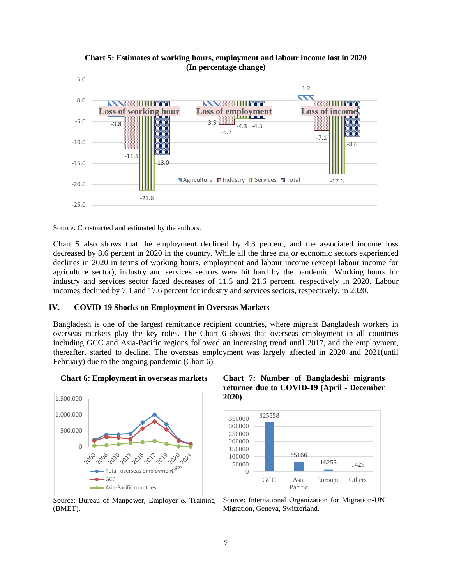

**Chart 5: Estimates of working hours, employment and labour income lost in 2020 (In percentage change)**



Chart 5 also shows that the employment declined by 4.3 percent, and the associated income loss decreased by 8.6 percent in 2020 in the country. While all the three major economic sectors experienced declines in 2020 in terms of working hours, employment and labour income (except labour income for agriculture sector), industry and services sectors were hit hard by the pandemic. Working hours for industry and services sector faced decreases of 11.5 and 21.6 percent, respectively in 2020. Labour incomes declined by 7.1 and 17.6 percent for industry and services sectors, respectively, in 2020.

## **IV. COVID-19 Shocks on Employment in Overseas Markets**

Bangladesh is one of the largest remittance recipient countries, where migrant Bangladesh workers in overseas markets play the key roles. The Chart 6 shows that overseas employment in all countries including GCC and Asia-Pacific regions followed an increasing trend until 2017, and the employment, thereafter, started to decline. The overseas employment was largely affected in 2020 and 2021(until February) due to the ongoing pandemic (Chart 6).



**Chart 6: Employment in overseas markets**

Source: Bureau of Manpower, Employer & Training (BMET).

## **Chart 7: Number of Bangladeshi migrants returnee due to COVID-19 (April - December 2020)**



Source: International Organization for Migration-UN Migration, Geneva, Switzerland.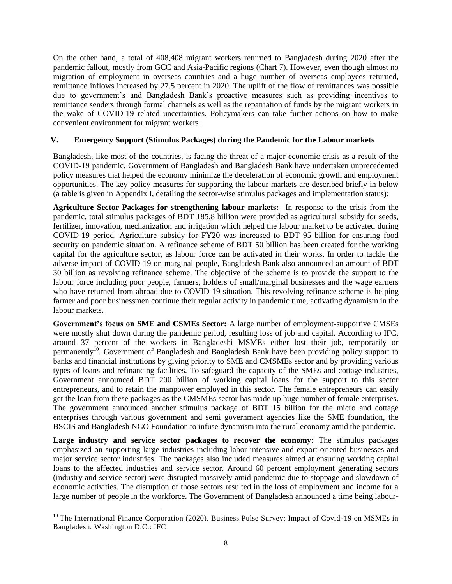On the other hand, a total of 408,408 migrant workers returned to Bangladesh during 2020 after the pandemic fallout, mostly from GCC and Asia-Pacific regions (Chart 7). However, even though almost no migration of employment in overseas countries and a huge number of overseas employees returned, remittance inflows increased by 27.5 percent in 2020. The uplift of the flow of remittances was possible due to government's and Bangladesh Bank's proactive measures such as providing incentives to remittance senders through formal channels as well as the repatriation of funds by the migrant workers in the wake of COVID-19 related uncertainties. Policymakers can take further actions on how to make convenient environment for migrant workers.

## **V. Emergency Support (Stimulus Packages) during the Pandemic for the Labour markets**

Bangladesh, like most of the countries, is facing the threat of a major economic crisis as a result of the COVID-19 pandemic. Government of Bangladesh and Bangladesh Bank have undertaken unprecedented policy measures that helped the economy minimize the deceleration of economic growth and employment opportunities. The key policy measures for supporting the labour markets are described briefly in below (a table is given in Appendix I, detailing the sector-wise stimulus packages and implementation status):

**Agriculture Sector Packages for strengthening labour markets:** In response to the crisis from the pandemic, total stimulus packages of BDT 185.8 billion were provided as agricultural subsidy for seeds, fertilizer, innovation, mechanization and irrigation which helped the labour market to be activated during COVID-19 period. Agriculture subsidy for FY20 was increased to BDT 95 billion for ensuring food security on pandemic situation. A refinance scheme of BDT 50 billion has been created for the working capital for the agriculture sector, as labour force can be activated in their works. In order to tackle the adverse impact of COVID-19 on marginal people, Bangladesh Bank also announced an amount of BDT 30 billion as revolving refinance scheme. The objective of the scheme is to provide the support to the labour force including poor people, farmers, holders of small/marginal businesses and the wage earners who have returned from abroad due to COVID-19 situation. This revolving refinance scheme is helping farmer and poor businessmen continue their regular activity in pandemic time, activating dynamism in the labour markets.

**Government's focus on SME and CSMEs Sector:** A large number of employment-supportive CMSEs were mostly shut down during the pandemic period, resulting loss of job and capital. According to IFC, around 37 percent of the workers in Bangladeshi MSMEs either lost their job, temporarily or permanently<sup>10</sup>. Government of Bangladesh and Bangladesh Bank have been providing policy support to banks and financial institutions by giving priority to SME and CMSMEs sector and by providing various types of loans and refinancing facilities. To safeguard the capacity of the SMEs and cottage industries, Government announced BDT 200 billion of working capital loans for the support to this sector entrepreneurs, and to retain the manpower employed in this sector. The female entrepreneurs can easily get the loan from these packages as the CMSMEs sector has made up huge number of female enterprises. The government announced another stimulus package of BDT 15 billion for the micro and cottage enterprises through various government and semi government agencies like the SME foundation, the BSCIS and Bangladesh NGO Foundation to infuse dynamism into the rural economy amid the pandemic.

**Large industry and service sector packages to recover the economy:** The stimulus packages emphasized on supporting large industries including labor-intensive and export-oriented businesses and major service sector industries. The packages also included measures aimed at ensuring working capital loans to the affected industries and service sector. Around 60 percent employment generating sectors (industry and service sector) were disrupted massively amid pandemic due to stoppage and slowdown of economic activities. The disruption of those sectors resulted in the loss of employment and income for a large number of people in the workforce. The Government of Bangladesh announced a time being labour-

 $\overline{\phantom{a}}$  $10$  The International Finance Corporation (2020). Business Pulse Survey: Impact of Covid-19 on MSMEs in Bangladesh. Washington D.C.: IFC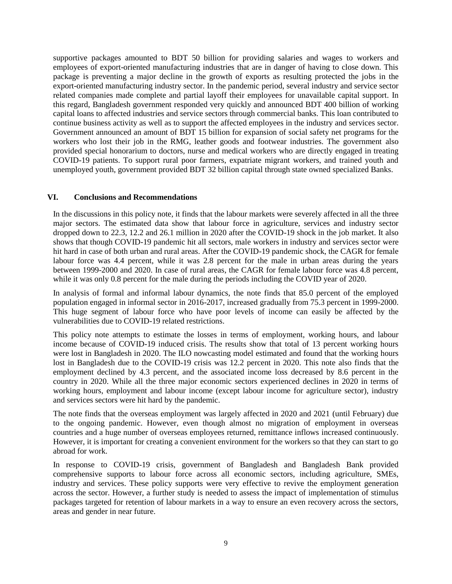supportive packages amounted to BDT 50 billion for providing salaries and wages to workers and employees of export-oriented manufacturing industries that are in danger of having to close down. This package is preventing a major decline in the growth of exports as resulting protected the jobs in the export-oriented manufacturing industry sector. In the pandemic period, several industry and service sector related companies made complete and partial layoff their employees for unavailable capital support. In this regard, Bangladesh government responded very quickly and announced BDT 400 billion of working capital loans to affected industries and service sectors through commercial banks. This loan contributed to continue business activity as well as to support the affected employees in the industry and services sector. Government announced an amount of BDT 15 billion for expansion of social safety net programs for the workers who lost their job in the RMG, leather goods and footwear industries. The government also provided special honorarium to doctors, nurse and medical workers who are directly engaged in treating COVID-19 patients. To support rural poor farmers, expatriate migrant workers, and trained youth and unemployed youth, government provided BDT 32 billion capital through state owned specialized Banks.

## **VI. Conclusions and Recommendations**

In the discussions in this policy note, it finds that the labour markets were severely affected in all the three major sectors. The estimated data show that labour force in agriculture, services and industry sector dropped down to 22.3, 12.2 and 26.1 million in 2020 after the COVID-19 shock in the job market. It also shows that though COVID-19 pandemic hit all sectors, male workers in industry and services sector were hit hard in case of both urban and rural areas. After the COVID-19 pandemic shock, the CAGR for female labour force was 4.4 percent, while it was 2.8 percent for the male in urban areas during the years between 1999-2000 and 2020. In case of rural areas, the CAGR for female labour force was 4.8 percent, while it was only 0.8 percent for the male during the periods including the COVID year of 2020.

In analysis of formal and informal labour dynamics, the note finds that 85.0 percent of the employed population engaged in informal sector in 2016-2017, increased gradually from 75.3 percent in 1999-2000. This huge segment of labour force who have poor levels of income can easily be affected by the vulnerabilities due to COVID-19 related restrictions.

This policy note attempts to estimate the losses in terms of employment, working hours, and labour income because of COVID-19 induced crisis. The results show that total of 13 percent working hours were lost in Bangladesh in 2020. The ILO nowcasting model estimated and found that the working hours lost in Bangladesh due to the COVID-19 crisis was 12.2 percent in 2020. This note also finds that the employment declined by 4.3 percent, and the associated income loss decreased by 8.6 percent in the country in 2020. While all the three major economic sectors experienced declines in 2020 in terms of working hours, employment and labour income (except labour income for agriculture sector), industry and services sectors were hit hard by the pandemic.

The note finds that the overseas employment was largely affected in 2020 and 2021 (until February) due to the ongoing pandemic. However, even though almost no migration of employment in overseas countries and a huge number of overseas employees returned, remittance inflows increased continuously. However, it is important for creating a convenient environment for the workers so that they can start to go abroad for work.

In response to COVID-19 crisis, government of Bangladesh and Bangladesh Bank provided comprehensive supports to labour force across all economic sectors, including agriculture, SMEs, industry and services. These policy supports were very effective to revive the employment generation across the sector. However, a further study is needed to assess the impact of implementation of stimulus packages targeted for retention of labour markets in a way to ensure an even recovery across the sectors, areas and gender in near future.